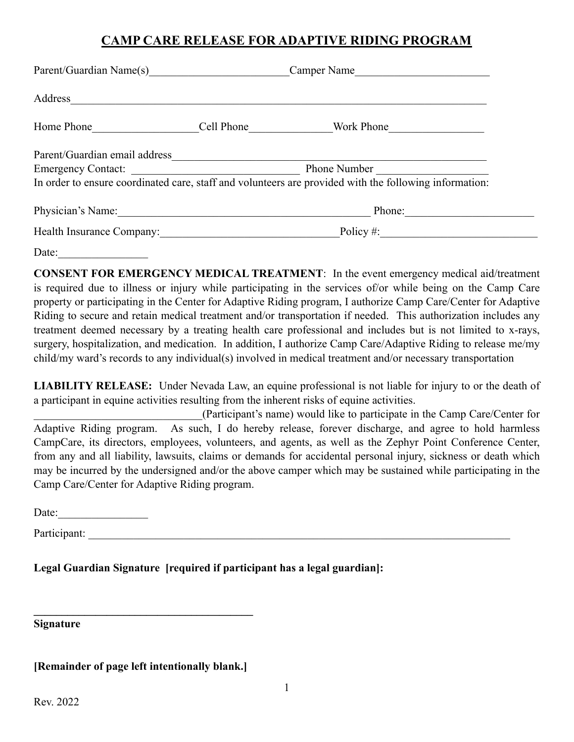## **CAMP CARE RELEASE FOR ADAPTIVE RIDING PROGRAM**

| Parent/Guardian Name(s)                                               | Camper Name                                                                                            |
|-----------------------------------------------------------------------|--------------------------------------------------------------------------------------------------------|
| Address<br><u> 1989 - John Stein, Amerikaansk politiker (</u> † 1920) |                                                                                                        |
| Home Phone                                                            | Cell Phone<br>Work Phone                                                                               |
| Parent/Guardian email address                                         |                                                                                                        |
|                                                                       | Phone Number                                                                                           |
|                                                                       | In order to ensure coordinated care, staff and volunteers are provided with the following information: |
| Physician's Name:                                                     | Phone:                                                                                                 |
| Health Insurance Company:                                             | Policy $\#$ :                                                                                          |

Date:

**CONSENT FOR EMERGENCY MEDICAL TREATMENT**: In the event emergency medical aid/treatment is required due to illness or injury while participating in the services of/or while being on the Camp Care property or participating in the Center for Adaptive Riding program, I authorize Camp Care/Center for Adaptive Riding to secure and retain medical treatment and/or transportation if needed. This authorization includes any treatment deemed necessary by a treating health care professional and includes but is not limited to x-rays, surgery, hospitalization, and medication. In addition, I authorize Camp Care/Adaptive Riding to release me/my child/my ward's records to any individual(s) involved in medical treatment and/or necessary transportation

**LIABILITY RELEASE:** Under Nevada Law, an equine professional is not liable for injury to or the death of a participant in equine activities resulting from the inherent risks of equine activities.

\_\_\_\_\_\_\_\_\_\_\_\_\_\_\_\_\_\_\_\_\_\_\_\_\_\_\_\_\_\_(Participant's name) would like to participate in the Camp Care/Center for Adaptive Riding program. As such, I do hereby release, forever discharge, and agree to hold harmless CampCare, its directors, employees, volunteers, and agents, as well as the Zephyr Point Conference Center, from any and all liability, lawsuits, claims or demands for accidental personal injury, sickness or death which may be incurred by the undersigned and/or the above camper which may be sustained while participating in the Camp Care/Center for Adaptive Riding program.

Date:  $\qquad \qquad$ 

Participant:

**Legal Guardian Signature [required if participant has a legal guardian]:** 

**Signature** 

**[Remainder of page left intentionally blank.]** 

 $\mathcal{L} = \{ \mathcal{L} \}$